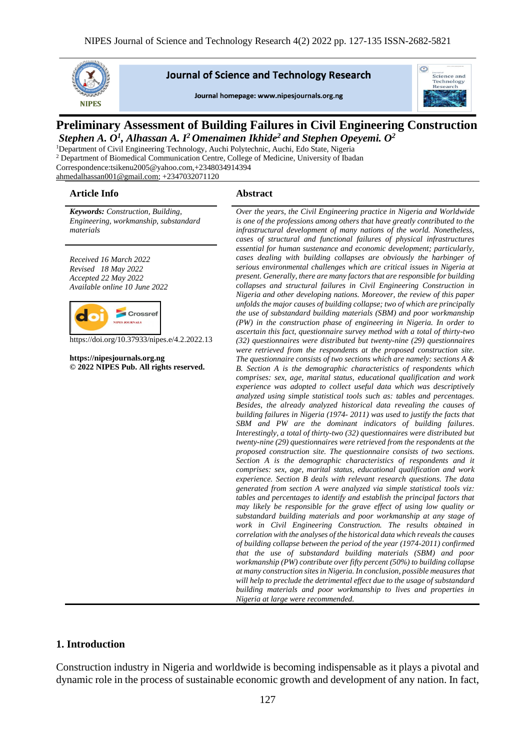

#### **Journal of Science and Technology Research**

Journal homepage: www.nipesiournals.org.ng



# **Preliminary Assessment of Building Failures in Civil Engineering Construction** *Stephen A. O<sup>1</sup> , Alhassan A. I<sup>2</sup>Omenaimen Ikhide<sup>2</sup>and Stephen Opeyemi. O<sup>2</sup>*

<sup>1</sup>Department of Civil Engineering Technology, Auchi Polytechnic, Auchi, Edo State, Nigeria <sup>2</sup> Department of Biomedical Communication Centre, College of Medicine, University of Ibadan Correspondence:tsikenu2005@yahoo.com,+2348034914394 [ahmedalhassan001@gmail.com;](mailto:ahmedalhassan001@gmail.com) +2347032071120

#### **Article Info Abstract**

*Keywords: Construction, Building, Engineering, workmanship, substandard materials*

*Received 16 March 2022 Revised 18 May 2022 Accepted 22 May 2022 Available online 10 June 2022*



https://doi.org/10.37933/nipes.e/4.2.2022.13

**https://nipesjournals.org.ng © 2022 NIPES Pub. All rights reserved.**

*Over the years, the Civil Engineering practice in Nigeria and Worldwide is one of the professions among others that have greatly contributed to the infrastructural development of many nations of the world. Nonetheless, cases of structural and functional failures of physical infrastructures essential for human sustenance and economic development; particularly, cases dealing with building collapses are obviously the harbinger of serious environmental challenges which are critical issues in Nigeria at present. Generally, there are many factors that are responsible for building collapses and structural failures in Civil Engineering Construction in Nigeria and other developing nations. Moreover, the review of this paper unfolds the major causes of building collapse; two of which are principally the use of substandard building materials (SBM) and poor workmanship (PW) in the construction phase of engineering in Nigeria. In order to ascertain this fact, questionnaire survey method with a total of thirty-two (32) questionnaires were distributed but twenty-nine (29) questionnaires were retrieved from the respondents at the proposed construction site. The questionnaire consists of two sections which are namely: sections A & B. Section A is the demographic characteristics of respondents which comprises: sex, age, marital status, educational qualification and work experience was adopted to collect useful data which was descriptively analyzed using simple statistical tools such as: tables and percentages. Besides, the already analyzed historical data revealing the causes of building failures in Nigeria (1974- 2011) was used to justify the facts that SBM and PW are the dominant indicators of building failures. Interestingly, a total of thirty-two (32) questionnaires were distributed but twenty-nine (29) questionnaires were retrieved from the respondents at the proposed construction site. The questionnaire consists of two sections. Section A is the demographic characteristics of respondents and it comprises: sex, age, marital status, educational qualification and work experience. Section B deals with relevant research questions. The data generated from section A were analyzed via simple statistical tools viz: tables and percentages to identify and establish the principal factors that may likely be responsible for the grave effect of using low quality or substandard building materials and poor workmanship at any stage of work in Civil Engineering Construction. The results obtained in correlation with the analyses of the historical data which reveals the causes of building collapse between the period of the year (1974-2011) confirmed that the use of substandard building materials (SBM) and poor workmanship (PW) contribute over fifty percent (50%) to building collapse at many construction sites in Nigeria. In conclusion, possible measures that will help to preclude the detrimental effect due to the usage of substandard building materials and poor workmanship to lives and properties in Nigeria at large were recommended.*

## **1. Introduction**

Construction industry in Nigeria and worldwide is becoming indispensable as it plays a pivotal and dynamic role in the process of sustainable economic growth and development of any nation. In fact,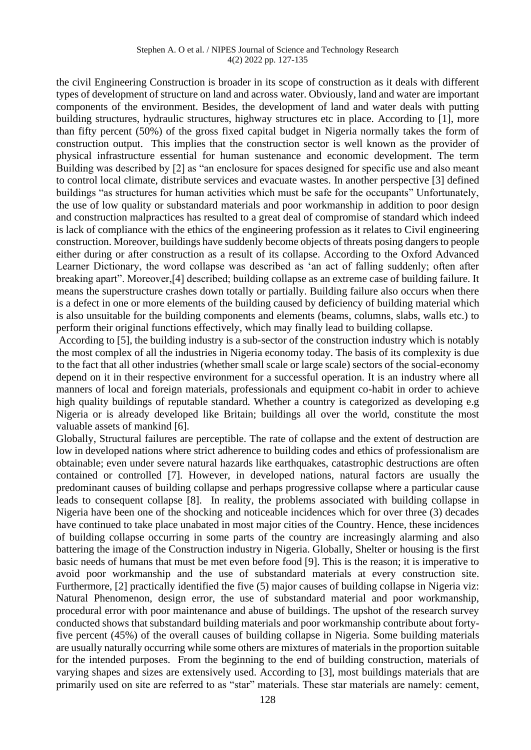#### Stephen A. O et al. / NIPES Journal of Science and Technology Research 4(2) 2022 pp. 127-135

the civil Engineering Construction is broader in its scope of construction as it deals with different types of development of structure on land and across water. Obviously, land and water are important components of the environment. Besides, the development of land and water deals with putting building structures, hydraulic structures, highway structures etc in place. According to [1], more than fifty percent (50%) of the gross fixed capital budget in Nigeria normally takes the form of construction output. This implies that the construction sector is well known as the provider of physical infrastructure essential for human sustenance and economic development. The term Building was described by [2] as "an enclosure for spaces designed for specific use and also meant to control local climate, distribute services and evacuate wastes. In another perspective [3] defined buildings "as structures for human activities which must be safe for the occupants" Unfortunately, the use of low quality or substandard materials and poor workmanship in addition to poor design and construction malpractices has resulted to a great deal of compromise of standard which indeed is lack of compliance with the ethics of the engineering profession as it relates to Civil engineering construction. Moreover, buildings have suddenly become objects of threats posing dangers to people either during or after construction as a result of its collapse. According to the Oxford Advanced Learner Dictionary, the word collapse was described as 'an act of falling suddenly; often after breaking apart". Moreover,[4] described; building collapse as an extreme case of building failure. It means the superstructure crashes down totally or partially. Building failure also occurs when there is a defect in one or more elements of the building caused by deficiency of building material which is also unsuitable for the building components and elements (beams, columns, slabs, walls etc.) to perform their original functions effectively, which may finally lead to building collapse.

According to [5], the building industry is a sub-sector of the construction industry which is notably the most complex of all the industries in Nigeria economy today. The basis of its complexity is due to the fact that all other industries (whether small scale or large scale) sectors of the social-economy depend on it in their respective environment for a successful operation. It is an industry where all manners of local and foreign materials, professionals and equipment co-habit in order to achieve high quality buildings of reputable standard. Whether a country is categorized as developing e.g. Nigeria or is already developed like Britain; buildings all over the world, constitute the most valuable assets of mankind [6].

Globally, Structural failures are perceptible. The rate of collapse and the extent of destruction are low in developed nations where strict adherence to building codes and ethics of professionalism are obtainable; even under severe natural hazards like earthquakes, catastrophic destructions are often contained or controlled [7]. However, in developed nations, natural factors are usually the predominant causes of building collapse and perhaps progressive collapse where a particular cause leads to consequent collapse [8]. In reality, the problems associated with building collapse in Nigeria have been one of the shocking and noticeable incidences which for over three (3) decades have continued to take place unabated in most major cities of the Country. Hence, these incidences of building collapse occurring in some parts of the country are increasingly alarming and also battering the image of the Construction industry in Nigeria. Globally, Shelter or housing is the first basic needs of humans that must be met even before food [9]. This is the reason; it is imperative to avoid poor workmanship and the use of substandard materials at every construction site. Furthermore, [2] practically identified the five (5) major causes of building collapse in Nigeria viz: Natural Phenomenon, design error, the use of substandard material and poor workmanship, procedural error with poor maintenance and abuse of buildings. The upshot of the research survey conducted shows that substandard building materials and poor workmanship contribute about fortyfive percent (45%) of the overall causes of building collapse in Nigeria. Some building materials are usually naturally occurring while some others are mixtures of materials in the proportion suitable for the intended purposes. From the beginning to the end of building construction, materials of varying shapes and sizes are extensively used. According to [3], most buildings materials that are primarily used on site are referred to as "star" materials. These star materials are namely: cement,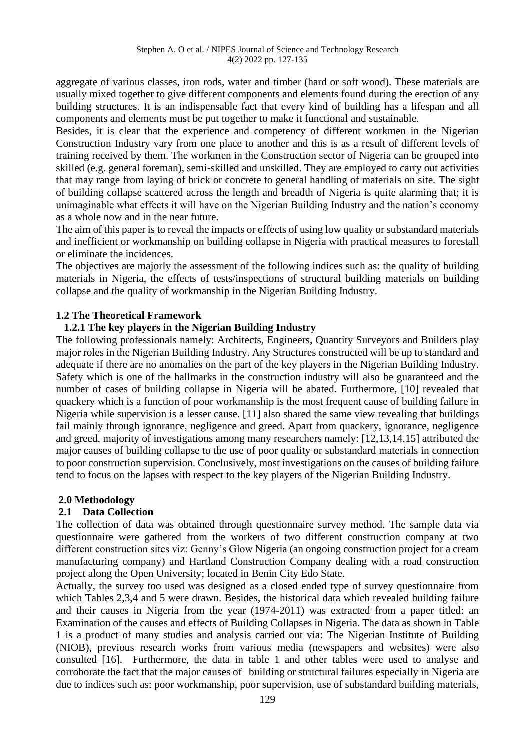aggregate of various classes, iron rods, water and timber (hard or soft wood). These materials are usually mixed together to give different components and elements found during the erection of any building structures. It is an indispensable fact that every kind of building has a lifespan and all components and elements must be put together to make it functional and sustainable.

Besides, it is clear that the experience and competency of different workmen in the Nigerian Construction Industry vary from one place to another and this is as a result of different levels of training received by them. The workmen in the Construction sector of Nigeria can be grouped into skilled (e.g. general foreman), semi-skilled and unskilled. They are employed to carry out activities that may range from laying of brick or concrete to general handling of materials on site. The sight of building collapse scattered across the length and breadth of Nigeria is quite alarming that; it is unimaginable what effects it will have on the Nigerian Building Industry and the nation's economy as a whole now and in the near future.

The aim of this paper is to reveal the impacts or effects of using low quality or substandard materials and inefficient or workmanship on building collapse in Nigeria with practical measures to forestall or eliminate the incidences.

The objectives are majorly the assessment of the following indices such as: the quality of building materials in Nigeria, the effects of tests/inspections of structural building materials on building collapse and the quality of workmanship in the Nigerian Building Industry.

# **1.2 The Theoretical Framework**

## **1.2.1 The key players in the Nigerian Building Industry**

The following professionals namely: Architects, Engineers, Quantity Surveyors and Builders play major roles in the Nigerian Building Industry. Any Structures constructed will be up to standard and adequate if there are no anomalies on the part of the key players in the Nigerian Building Industry. Safety which is one of the hallmarks in the construction industry will also be guaranteed and the number of cases of building collapse in Nigeria will be abated. Furthermore, [10] revealed that quackery which is a function of poor workmanship is the most frequent cause of building failure in Nigeria while supervision is a lesser cause. [11] also shared the same view revealing that buildings fail mainly through ignorance, negligence and greed. Apart from quackery, ignorance, negligence and greed, majority of investigations among many researchers namely: [12,13,14,15] attributed the major causes of building collapse to the use of poor quality or substandard materials in connection to poor construction supervision. Conclusively, most investigations on the causes of building failure tend to focus on the lapses with respect to the key players of the Nigerian Building Industry.

# **2.0 Methodology**

# **2.1 Data Collection**

The collection of data was obtained through questionnaire survey method. The sample data via questionnaire were gathered from the workers of two different construction company at two different construction sites viz: Genny's Glow Nigeria (an ongoing construction project for a cream manufacturing company) and Hartland Construction Company dealing with a road construction project along the Open University; located in Benin City Edo State.

Actually, the survey too used was designed as a closed ended type of survey questionnaire from which Tables 2,3,4 and 5 were drawn. Besides, the historical data which revealed building failure and their causes in Nigeria from the year (1974-2011) was extracted from a paper titled: an Examination of the causes and effects of Building Collapses in Nigeria. The data as shown in Table 1 is a product of many studies and analysis carried out via: The Nigerian Institute of Building (NIOB), previous research works from various media (newspapers and websites) were also consulted [16]. Furthermore, the data in table 1 and other tables were used to analyse and corroborate the fact that the major causes of building or structural failures especially in Nigeria are due to indices such as: poor workmanship, poor supervision, use of substandard building materials,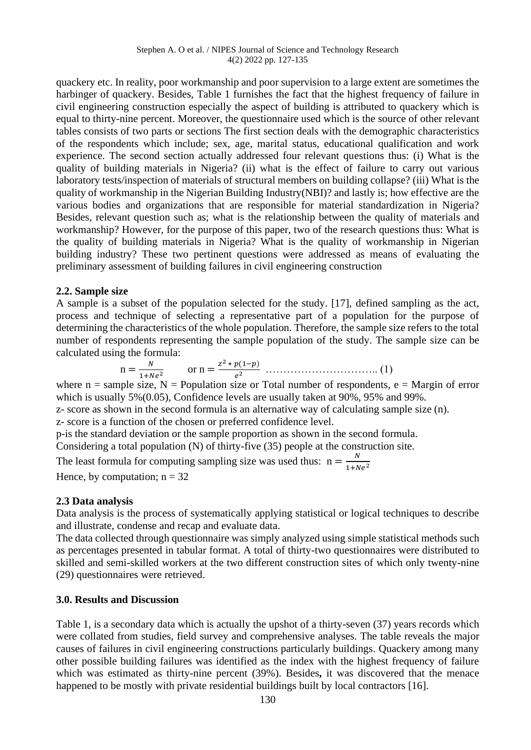#### Stephen A. O et al. / NIPES Journal of Science and Technology Research 4(2) 2022 pp. 127-135

quackery etc. In reality, poor workmanship and poor supervision to a large extent are sometimes the harbinger of quackery. Besides, Table 1 furnishes the fact that the highest frequency of failure in civil engineering construction especially the aspect of building is attributed to quackery which is equal to thirty-nine percent. Moreover, the questionnaire used which is the source of other relevant tables consists of two parts or sections The first section deals with the demographic characteristics of the respondents which include; sex, age, marital status, educational qualification and work experience. The second section actually addressed four relevant questions thus: (i) What is the quality of building materials in Nigeria? (ii) what is the effect of failure to carry out various laboratory tests/inspection of materials of structural members on building collapse? (iii) What is the quality of workmanship in the Nigerian Building Industry(NBI)? and lastly is; how effective are the various bodies and organizations that are responsible for material standardization in Nigeria? Besides, relevant question such as; what is the relationship between the quality of materials and workmanship? However, for the purpose of this paper, two of the research questions thus: What is the quality of building materials in Nigeria? What is the quality of workmanship in Nigerian building industry? These two pertinent questions were addressed as means of evaluating the preliminary assessment of building failures in civil engineering construction

# **2.2. Sample size**

A sample is a subset of the population selected for the study. [17], defined sampling as the act, process and technique of selecting a representative part of a population for the purpose of determining the characteristics of the whole population. Therefore, the sample size refers to the total number of respondents representing the sample population of the study. The sample size can be calculated using the formula:

$$
n = \frac{N}{1 + Ne^2} \qquad \text{or } n = \frac{z^2 \star p(1-p)}{e^2} \quad \dots \dots \dots \dots \dots \dots \dots \dots \dots \dots \tag{1}
$$

where  $n =$  sample size,  $N =$  Population size or Total number of respondents,  $e =$  Margin of error which is usually 5%(0.05), Confidence levels are usually taken at 90%, 95% and 99%.

z- score as shown in the second formula is an alternative way of calculating sample size (n).

z- score is a function of the chosen or preferred confidence level.

p-is the standard deviation or the sample proportion as shown in the second formula.

Considering a total population (N) of thirty-five (35) people at the construction site.

The least formula for computing sampling size was used thus:  $n = \frac{N}{1 + N}$  $\frac{N}{1+Ne^2}$ Hence, by computation;  $n = 32$ 

## **2.3 Data analysis**

Data analysis is the process of systematically applying statistical or logical techniques to describe and illustrate, condense and recap and evaluate data.

The data collected through questionnaire was simply analyzed using simple statistical methods such as percentages presented in tabular format. A total of thirty-two questionnaires were distributed to skilled and semi-skilled workers at the two different construction sites of which only twenty-nine (29) questionnaires were retrieved.

# **3.0. Results and Discussion**

Table 1, is a secondary data which is actually the upshot of a thirty-seven (37) years records which were collated from studies, field survey and comprehensive analyses. The table reveals the major causes of failures in civil engineering constructions particularly buildings. Quackery among many other possible building failures was identified as the index with the highest frequency of failure which was estimated as thirty-nine percent (39%). Besides**,** it was discovered that the menace happened to be mostly with private residential buildings built by local contractors [16].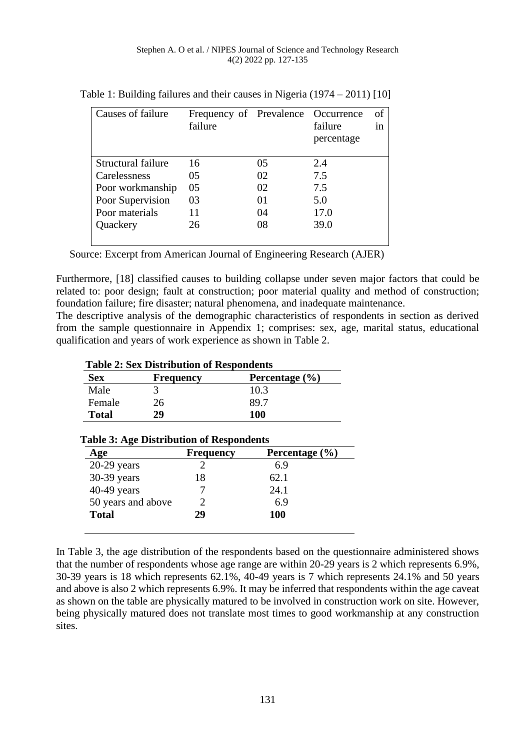| Causes of failure  | Frequency of Prevalence Occurrence<br>failure |    | failure<br>percentage | of<br>1n |
|--------------------|-----------------------------------------------|----|-----------------------|----------|
| Structural failure | 16                                            | 05 | 2.4                   |          |
| Carelessness       | 05                                            | 02 | 7.5                   |          |
| Poor workmanship   | 05                                            | 02 | 7.5                   |          |
| Poor Supervision   | 03                                            | 01 | 5.0                   |          |
| Poor materials     | 11                                            | 04 | 17.0                  |          |
| Quackery           | 26                                            | 08 | 39.0                  |          |
|                    |                                               |    |                       |          |

Table 1: Building failures and their causes in Nigeria (1974 – 2011) [10]

Source: Excerpt from American Journal of Engineering Research (AJER)

Furthermore, [18] classified causes to building collapse under seven major factors that could be related to: poor design; fault at construction; poor material quality and method of construction; foundation failure; fire disaster; natural phenomena, and inadequate maintenance.

The descriptive analysis of the demographic characteristics of respondents in section as derived from the sample questionnaire in Appendix 1; comprises: sex, age, marital status, educational qualification and years of work experience as shown in Table 2.

| <b>Table 2: Sex Distribution of Respondents</b> |           |                    |  |
|-------------------------------------------------|-----------|--------------------|--|
| <b>Sex</b>                                      | Frequency | Percentage $(\% )$ |  |
| Male                                            |           | 10.3               |  |
| Female                                          | 26        | 89.7               |  |
| <b>Total</b>                                    | 29        | 100                |  |

| Age                | <b>Frequency</b>            | Percentage $(\% )$ |  |
|--------------------|-----------------------------|--------------------|--|
| $20-29$ years      |                             | 6.9                |  |
| 30-39 years        | 18                          | 62.1               |  |
| 40-49 years        |                             | 24.1               |  |
| 50 years and above | $\mathcal{D}_{\mathcal{A}}$ | 6.9                |  |
| <b>Total</b>       | 29                          | <b>100</b>         |  |

## **Table 3: Age Distribution of Respondents**

In Table 3, the age distribution of the respondents based on the questionnaire administered shows that the number of respondents whose age range are within 20-29 years is 2 which represents 6.9%, 30-39 years is 18 which represents 62.1%, 40-49 years is 7 which represents 24.1% and 50 years and above is also 2 which represents 6.9%. It may be inferred that respondents within the age caveat as shown on the table are physically matured to be involved in construction work on site. However, being physically matured does not translate most times to good workmanship at any construction sites.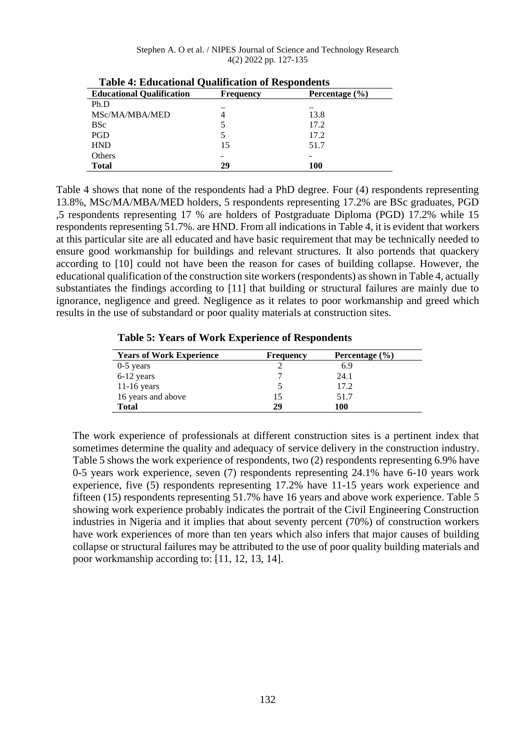| TWOTE IN EIGHENVIOLING & MANHICHALON OF THOD PONGETIO |                  |                    |  |  |
|-------------------------------------------------------|------------------|--------------------|--|--|
| <b>Educational Qualification</b>                      | <b>Frequency</b> | Percentage $(\% )$ |  |  |
| Ph.D                                                  |                  |                    |  |  |
| MSc/MA/MBA/MED                                        |                  | 13.8               |  |  |
| <b>BSc</b>                                            |                  | 17.2               |  |  |
| PGD                                                   |                  | 17.2               |  |  |
| <b>HND</b>                                            | 15               | 51.7               |  |  |
| Others                                                |                  | -                  |  |  |
| Total                                                 | 29               | 100                |  |  |

 **Table 4: Educational Qualification of Respondents**

Table 4 shows that none of the respondents had a PhD degree. Four (4) respondents representing 13.8%, MSc/MA/MBA/MED holders, 5 respondents representing 17.2% are BSc graduates, PGD ,5 respondents representing 17 % are holders of Postgraduate Diploma (PGD) 17.2% while 15 respondents representing 51.7%. are HND. From all indications in Table 4, it is evident that workers at this particular site are all educated and have basic requirement that may be technically needed to ensure good workmanship for buildings and relevant structures. It also portends that quackery according to [10] could not have been the reason for cases of building collapse. However, the educational qualification of the construction site workers (respondents) as shown in Table 4, actually substantiates the findings according to [11] that building or structural failures are mainly due to ignorance, negligence and greed. Negligence as it relates to poor workmanship and greed which results in the use of substandard or poor quality materials at construction sites.

 **Table 5: Years of Work Experience of Respondents**

| <b>Years of Work Experience</b> | <b>Frequency</b> | Percentage $(\% )$ |
|---------------------------------|------------------|--------------------|
| $0-5$ years                     |                  | 6.9                |
| 6-12 years                      |                  | 24.1               |
| $11-16$ years                   |                  | 17.2               |
| 16 years and above              | 15               | 51.7               |
| Total                           | 29               | 100                |

The work experience of professionals at different construction sites is a pertinent index that sometimes determine the quality and adequacy of service delivery in the construction industry. Table 5 shows the work experience of respondents, two (2) respondents representing 6.9% have 0-5 years work experience, seven (7) respondents representing 24.1% have 6-10 years work experience, five (5) respondents representing 17.2% have 11-15 years work experience and fifteen (15) respondents representing 51.7% have 16 years and above work experience. Table 5 showing work experience probably indicates the portrait of the Civil Engineering Construction industries in Nigeria and it implies that about seventy percent (70%) of construction workers have work experiences of more than ten years which also infers that major causes of building collapse or structural failures may be attributed to the use of poor quality building materials and poor workmanship according to: [11, 12, 13, 14].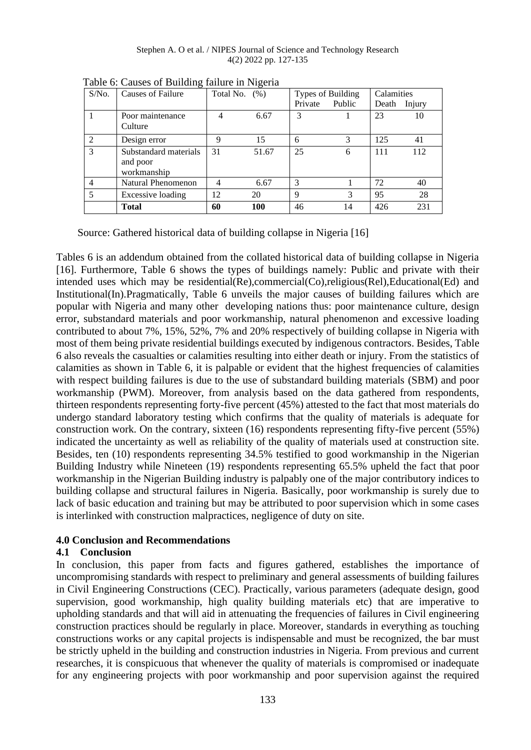Stephen A. O et al. / NIPES Journal of Science and Technology Research 4(2) 2022 pp. 127-135

| $S/N0$ .       | Causes of Failure     | Total No. $(\%)$ |       | Types of Building |        | Calamities |        |
|----------------|-----------------------|------------------|-------|-------------------|--------|------------|--------|
|                |                       |                  |       | Private           | Public | Death      | Injury |
|                | Poor maintenance      | 4                | 6.67  | 3                 |        | 23         | 10     |
|                | Culture               |                  |       |                   |        |            |        |
| $\mathfrak{D}$ | Design error          | 9                | 15    | 6                 | 3      | 125        | 41     |
| 3              | Substandard materials | 31               | 51.67 | 25                | 6      | 111        | 112    |
|                | and poor              |                  |       |                   |        |            |        |
|                | workmanship           |                  |       |                   |        |            |        |
| 4              | Natural Phenomenon    | 4                | 6.67  | 3                 |        | 72         | 40     |
| 5              | Excessive loading     | 12               | 20    | 9                 | 3      | 95         | 28     |
|                | <b>Total</b>          | 60               | 100   | 46                | 14     | 426        | 231    |

Table 6: Causes of Building failure in Nigeria

Source: Gathered historical data of building collapse in Nigeria [16]

Tables 6 is an addendum obtained from the collated historical data of building collapse in Nigeria [16]. Furthermore, Table 6 shows the types of buildings namely: Public and private with their intended uses which may be residential(Re),commercial(Co),religious(Rel),Educational(Ed) and Institutional(In).Pragmatically, Table 6 unveils the major causes of building failures which are popular with Nigeria and many other developing nations thus: poor maintenance culture, design error, substandard materials and poor workmanship, natural phenomenon and excessive loading contributed to about 7%, 15%, 52%, 7% and 20% respectively of building collapse in Nigeria with most of them being private residential buildings executed by indigenous contractors. Besides, Table 6 also reveals the casualties or calamities resulting into either death or injury. From the statistics of calamities as shown in Table 6, it is palpable or evident that the highest frequencies of calamities with respect building failures is due to the use of substandard building materials (SBM) and poor workmanship (PWM). Moreover, from analysis based on the data gathered from respondents, thirteen respondents representing forty-five percent (45%) attested to the fact that most materials do undergo standard laboratory testing which confirms that the quality of materials is adequate for construction work. On the contrary, sixteen (16) respondents representing fifty-five percent (55%) indicated the uncertainty as well as reliability of the quality of materials used at construction site. Besides, ten (10) respondents representing 34.5% testified to good workmanship in the Nigerian Building Industry while Nineteen (19) respondents representing 65.5% upheld the fact that poor workmanship in the Nigerian Building industry is palpably one of the major contributory indices to building collapse and structural failures in Nigeria. Basically, poor workmanship is surely due to lack of basic education and training but may be attributed to poor supervision which in some cases is interlinked with construction malpractices, negligence of duty on site.

## **4.0 Conclusion and Recommendations**

## **4.1 Conclusion**

In conclusion, this paper from facts and figures gathered, establishes the importance of uncompromising standards with respect to preliminary and general assessments of building failures in Civil Engineering Constructions (CEC). Practically, various parameters (adequate design, good supervision, good workmanship, high quality building materials etc) that are imperative to upholding standards and that will aid in attenuating the frequencies of failures in Civil engineering construction practices should be regularly in place. Moreover, standards in everything as touching constructions works or any capital projects is indispensable and must be recognized, the bar must be strictly upheld in the building and construction industries in Nigeria. From previous and current researches, it is conspicuous that whenever the quality of materials is compromised or inadequate for any engineering projects with poor workmanship and poor supervision against the required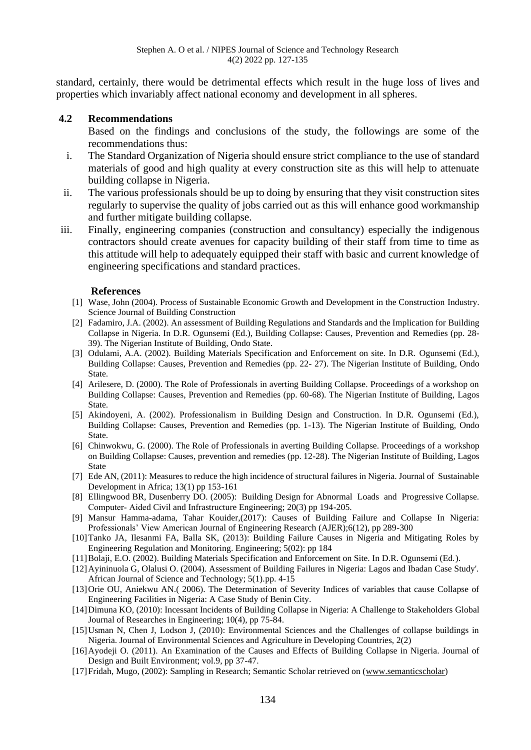standard, certainly, there would be detrimental effects which result in the huge loss of lives and properties which invariably affect national economy and development in all spheres.

## **4.2 Recommendations**

Based on the findings and conclusions of the study, the followings are some of the recommendations thus:

- i. The Standard Organization of Nigeria should ensure strict compliance to the use of standard materials of good and high quality at every construction site as this will help to attenuate building collapse in Nigeria.
- ii. The various professionals should be up to doing by ensuring that they visit construction sites regularly to supervise the quality of jobs carried out as this will enhance good workmanship and further mitigate building collapse.
- iii. Finally, engineering companies (construction and consultancy) especially the indigenous contractors should create avenues for capacity building of their staff from time to time as this attitude will help to adequately equipped their staff with basic and current knowledge of engineering specifications and standard practices.

## **References**

- [1] Wase, John (2004). Process of Sustainable Economic Growth and Development in the Construction Industry. Science Journal of Building Construction
- [2] Fadamiro, J.A. (2002). An assessment of Building Regulations and Standards and the Implication for Building Collapse in Nigeria. In D.R. Ogunsemi (Ed.), Building Collapse: Causes, Prevention and Remedies (pp. 28- 39). The Nigerian Institute of Building, Ondo State.
- [3] Odulami, A.A. (2002). Building Materials Specification and Enforcement on site. In D.R. Ogunsemi (Ed.), Building Collapse: Causes, Prevention and Remedies (pp. 22- 27). The Nigerian Institute of Building, Ondo State.
- [4] Arilesere, D. (2000). The Role of Professionals in averting Building Collapse. Proceedings of a workshop on Building Collapse: Causes, Prevention and Remedies (pp. 60-68). The Nigerian Institute of Building, Lagos State.
- [5] Akindoyeni, A. (2002). Professionalism in Building Design and Construction. In D.R. Ogunsemi (Ed.), Building Collapse: Causes, Prevention and Remedies (pp. 1-13). The Nigerian Institute of Building, Ondo State.
- [6] Chinwokwu, G. (2000). The Role of Professionals in averting Building Collapse. Proceedings of a workshop on Building Collapse: Causes, prevention and remedies (pp. 12-28). The Nigerian Institute of Building, Lagos State
- [7] Ede AN, (2011): Measures to reduce the high incidence of structural failures in Nigeria. Journal of Sustainable Development in Africa; 13(1) pp 153-161
- [8] Ellingwood BR, Dusenberry DO. (2005): Building Design for Abnormal Loads and Progressive Collapse. Computer‐ Aided Civil and Infrastructure Engineering; 20(3) pp 194-205.
- [9] Mansur Hamma-adama, Tahar Kouider,(2017): Causes of Building Failure and Collapse In Nigeria: Professionals' View American Journal of Engineering Research (AJER);6(12), pp 289-300
- [10]Tanko JA, Ilesanmi FA, Balla SK, (2013): Building Failure Causes in Nigeria and Mitigating Roles by Engineering Regulation and Monitoring. Engineering; 5(02): pp 184
- [11]Bolaji, E.O. (2002). Building Materials Specification and Enforcement on Site. In D.R. Ogunsemi (Ed.).
- [12]Ayininuola G, Olalusi O. (2004). Assessment of Building Failures in Nigeria: Lagos and Ibadan Case Study'. African Journal of Science and Technology; 5(1).pp. 4-15
- [13]Orie OU, Aniekwu AN.( 2006). The Determination of Severity Indices of variables that cause Collapse of Engineering Facilities in Nigeria: A Case Study of Benin City.
- [14]Dimuna KO, (2010): Incessant Incidents of Building Collapse in Nigeria: A Challenge to Stakeholders Global Journal of Researches in Engineering; 10(4), pp 75-84.
- [15]Usman N, Chen J, Lodson J, (2010): Environmental Sciences and the Challenges of collapse buildings in Nigeria. Journal of Environmental Sciences and Agriculture in Developing Countries, 2(2)
- [16]Ayodeji O. (2011). An Examination of the Causes and Effects of Building Collapse in Nigeria. Journal of Design and Built Environment; vol.9, pp 37-47.
- [17]Fridah, Mugo, (2002): Sampling in Research; Semantic Scholar retrieved on [\(www.semanticscholar\)](http://www.semanticscholar/)